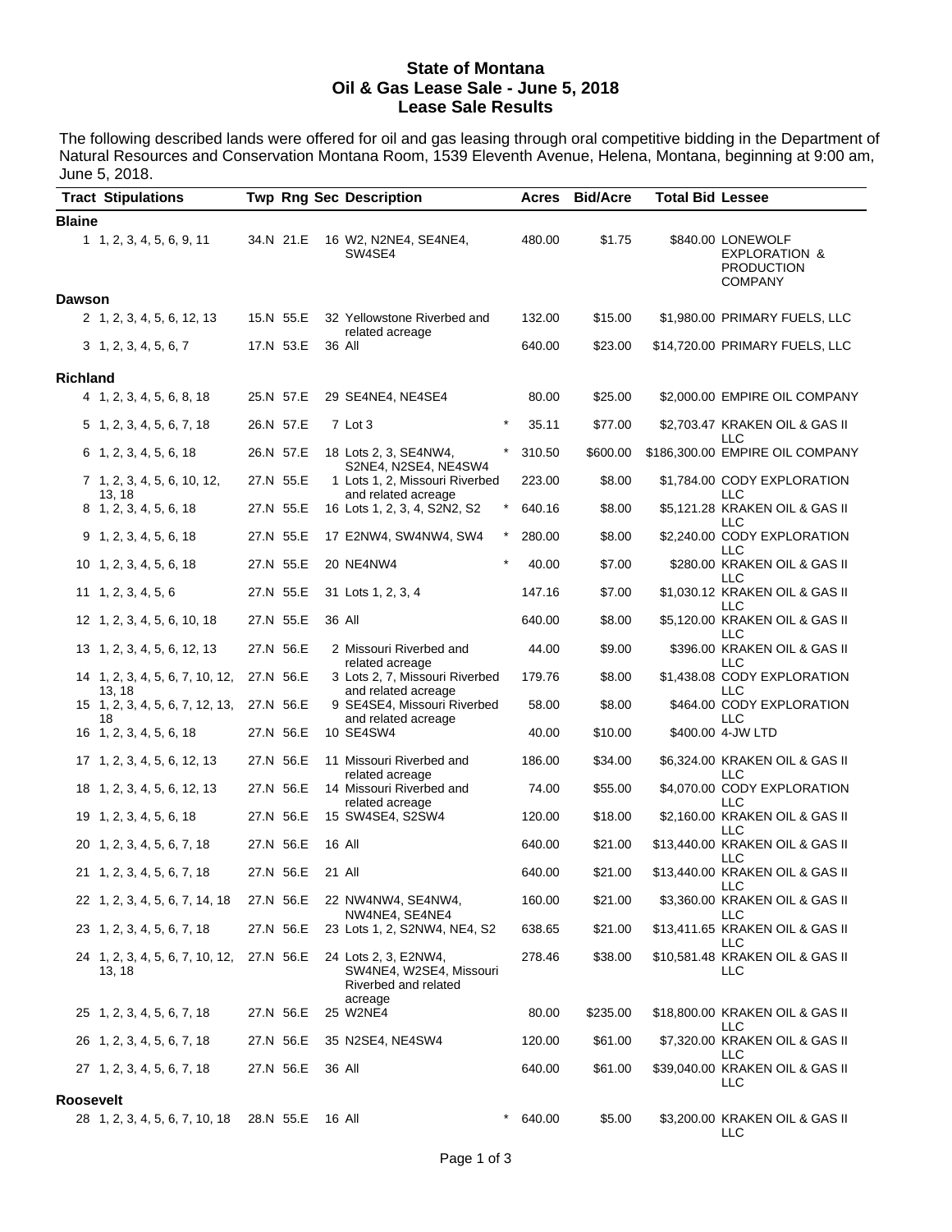#### **State of Montana Oil & Gas Lease Sale - June 5, 2018 Lease Sale Results**

The following described lands were offered for oil and gas leasing through oral competitive bidding in the Department of Natural Resources and Conservation Montana Room, 1539 Eleventh Avenue, Helena, Montana, beginning at 9:00 am, June 5, 2018.

|                 | <b>Tract Stipulations</b>                 |  |           |  | <b>Twp Rng Sec Description</b>                                                     | Acres  | <b>Bid/Acre</b> | <b>Total Bid Lessee</b> |                                                                                      |
|-----------------|-------------------------------------------|--|-----------|--|------------------------------------------------------------------------------------|--------|-----------------|-------------------------|--------------------------------------------------------------------------------------|
| <b>Blaine</b>   |                                           |  |           |  |                                                                                    |        |                 |                         |                                                                                      |
|                 | 1 1, 2, 3, 4, 5, 6, 9, 11                 |  | 34.N 21.E |  | 16 W2, N2NE4, SE4NE4,<br>SW4SE4                                                    | 480.00 | \$1.75          |                         | \$840.00 LONEWOLF<br><b>EXPLORATION &amp;</b><br><b>PRODUCTION</b><br><b>COMPANY</b> |
| <b>Dawson</b>   |                                           |  |           |  |                                                                                    |        |                 |                         |                                                                                      |
|                 | 2 1, 2, 3, 4, 5, 6, 12, 13                |  | 15.N 55.E |  | 32 Yellowstone Riverbed and<br>related acreage                                     | 132.00 | \$15.00         |                         | \$1,980.00 PRIMARY FUELS, LLC                                                        |
|                 | $3\quad 1, 2, 3, 4, 5, 6, 7$              |  | 17.N 53.E |  | 36 All                                                                             | 640.00 | \$23.00         |                         | \$14,720.00 PRIMARY FUELS, LLC                                                       |
| <b>Richland</b> |                                           |  |           |  |                                                                                    |        |                 |                         |                                                                                      |
|                 | 4 1, 2, 3, 4, 5, 6, 8, 18                 |  | 25.N 57.E |  | 29 SE4NE4, NE4SE4                                                                  | 80.00  | \$25.00         |                         | \$2,000.00 EMPIRE OIL COMPANY                                                        |
|                 | 5 1, 2, 3, 4, 5, 6, 7, 18                 |  | 26.N 57.E |  | $\star$<br>7 Lot 3                                                                 | 35.11  | \$77.00         |                         | \$2,703.47 KRAKEN OIL & GAS II<br>LLC                                                |
|                 | $6$ 1, 2, 3, 4, 5, 6, 18                  |  | 26.N 57.E |  | 18 Lots 2, 3, SE4NW4,<br>S2NE4, N2SE4, NE4SW4                                      | 310.50 | \$600.00        |                         | \$186,300.00 EMPIRE OIL COMPANY                                                      |
|                 | 7 1, 2, 3, 4, 5, 6, 10, 12,<br>13, 18     |  | 27.N 55.E |  | 1 Lots 1, 2, Missouri Riverbed<br>and related acreage                              | 223.00 | \$8.00          |                         | \$1,784.00 CODY EXPLORATION<br>LLC                                                   |
|                 | 8 1, 2, 3, 4, 5, 6, 18                    |  | 27.N 55.E |  | $\star$<br>16 Lots 1, 2, 3, 4, S2N2, S2                                            | 640.16 | \$8.00          |                         | \$5,121.28 KRAKEN OIL & GAS II<br>LLC                                                |
|                 | 9, 1, 2, 3, 4, 5, 6, 18                   |  | 27.N 55.E |  | 17 E2NW4, SW4NW4, SW4                                                              | 280.00 | \$8.00          |                         | \$2,240.00 CODY EXPLORATION<br>LLC                                                   |
|                 | 10 1, 2, 3, 4, 5, 6, 18                   |  | 27.N 55.E |  | 20 NE4NW4                                                                          | 40.00  | \$7.00          |                         | \$280.00 KRAKEN OIL & GAS II<br>LLC                                                  |
|                 | $11 \quad 1, 2, 3, 4, 5, 6$               |  | 27.N 55.E |  | 31 Lots 1, 2, 3, 4                                                                 | 147.16 | \$7.00          |                         | \$1,030.12 KRAKEN OIL & GAS II<br>LLC                                                |
|                 | 12 1, 2, 3, 4, 5, 6, 10, 18               |  | 27.N 55.E |  | 36 All                                                                             | 640.00 | \$8.00          |                         | \$5,120.00 KRAKEN OIL & GAS II<br><b>LLC</b>                                         |
|                 | 13 1, 2, 3, 4, 5, 6, 12, 13               |  | 27.N 56.E |  | 2 Missouri Riverbed and<br>related acreage                                         | 44.00  | \$9.00          |                         | \$396.00 KRAKEN OIL & GAS II<br>LLC                                                  |
|                 | 14 1, 2, 3, 4, 5, 6, 7, 10, 12,<br>13, 18 |  | 27.N 56.E |  | 3 Lots 2, 7, Missouri Riverbed<br>and related acreage                              | 179.76 | \$8.00          |                         | \$1,438.08 CODY EXPLORATION<br>LLC                                                   |
|                 | 15 1, 2, 3, 4, 5, 6, 7, 12, 13,<br>18     |  | 27.N 56.E |  | 9 SE4SE4, Missouri Riverbed<br>and related acreage                                 | 58.00  | \$8.00          |                         | \$464.00 CODY EXPLORATION<br>LLC                                                     |
|                 | 16 1, 2, 3, 4, 5, 6, 18                   |  | 27.N 56.E |  | 10 SE4SW4                                                                          | 40.00  | \$10.00         |                         | \$400.00 4-JW LTD                                                                    |
|                 | 17 1, 2, 3, 4, 5, 6, 12, 13               |  | 27.N 56.E |  | 11 Missouri Riverbed and<br>related acreage                                        | 186.00 | \$34.00         |                         | \$6,324.00 KRAKEN OIL & GAS II<br>LLC                                                |
|                 | 18 1, 2, 3, 4, 5, 6, 12, 13               |  | 27.N 56.E |  | 14 Missouri Riverbed and<br>related acreage                                        | 74.00  | \$55.00         |                         | \$4,070.00 CODY EXPLORATION<br>LLC                                                   |
|                 | 19 1, 2, 3, 4, 5, 6, 18                   |  | 27.N 56.E |  | 15 SW4SE4, S2SW4                                                                   | 120.00 | \$18.00         |                         | \$2,160.00 KRAKEN OIL & GAS II<br>LLC                                                |
|                 | 20 1, 2, 3, 4, 5, 6, 7, 18                |  | 27.N 56.E |  | 16 All                                                                             | 640.00 | \$21.00         |                         | \$13,440.00 KRAKEN OIL & GAS II<br>LLC                                               |
|                 | 21 1, 2, 3, 4, 5, 6, 7, 18                |  | 27.N 56.E |  | 21 All                                                                             | 640.00 | \$21.00         |                         | \$13,440.00 KRAKEN OIL & GAS II<br>LLC                                               |
|                 | 22 1, 2, 3, 4, 5, 6, 7, 14, 18            |  | 27.N 56.E |  | 22 NW4NW4, SE4NW4,<br>NW4NE4, SE4NE4                                               | 160.00 | \$21.00         |                         | \$3,360.00 KRAKEN OIL & GAS II<br>LLC                                                |
|                 | 23 1, 2, 3, 4, 5, 6, 7, 18                |  | 27.N 56.E |  | 23 Lots 1, 2, S2NW4, NE4, S2                                                       | 638.65 | \$21.00         |                         | \$13,411.65 KRAKEN OIL & GAS II<br>LLC                                               |
|                 | 24 1, 2, 3, 4, 5, 6, 7, 10, 12,<br>13, 18 |  | 27.N 56.E |  | 24 Lots 2, 3, E2NW4,<br>SW4NE4, W2SE4, Missouri<br>Riverbed and related<br>acreage | 278.46 | \$38.00         |                         | \$10,581.48 KRAKEN OIL & GAS II<br>LLC                                               |
|                 | 25 1, 2, 3, 4, 5, 6, 7, 18                |  | 27.N 56.E |  | 25 W2NE4                                                                           | 80.00  | \$235.00        |                         | \$18,800.00 KRAKEN OIL & GAS II<br>LLC                                               |
|                 | 26 1, 2, 3, 4, 5, 6, 7, 18                |  | 27.N 56.E |  | 35 N2SE4, NE4SW4                                                                   | 120.00 | \$61.00         |                         | \$7,320.00 KRAKEN OIL & GAS II<br>LLC                                                |
|                 | 27 1, 2, 3, 4, 5, 6, 7, 18                |  | 27.N 56.E |  | 36 All                                                                             | 640.00 | \$61.00         |                         | \$39,040.00 KRAKEN OIL & GAS II<br>LLC                                               |
| Roosevelt       |                                           |  |           |  |                                                                                    |        |                 |                         |                                                                                      |
|                 | 28 1, 2, 3, 4, 5, 6, 7, 10, 18            |  | 28.N 55.E |  | $^\star$<br>16 All                                                                 | 640.00 | \$5.00          |                         | \$3,200.00 KRAKEN OIL & GAS II<br><b>LLC</b>                                         |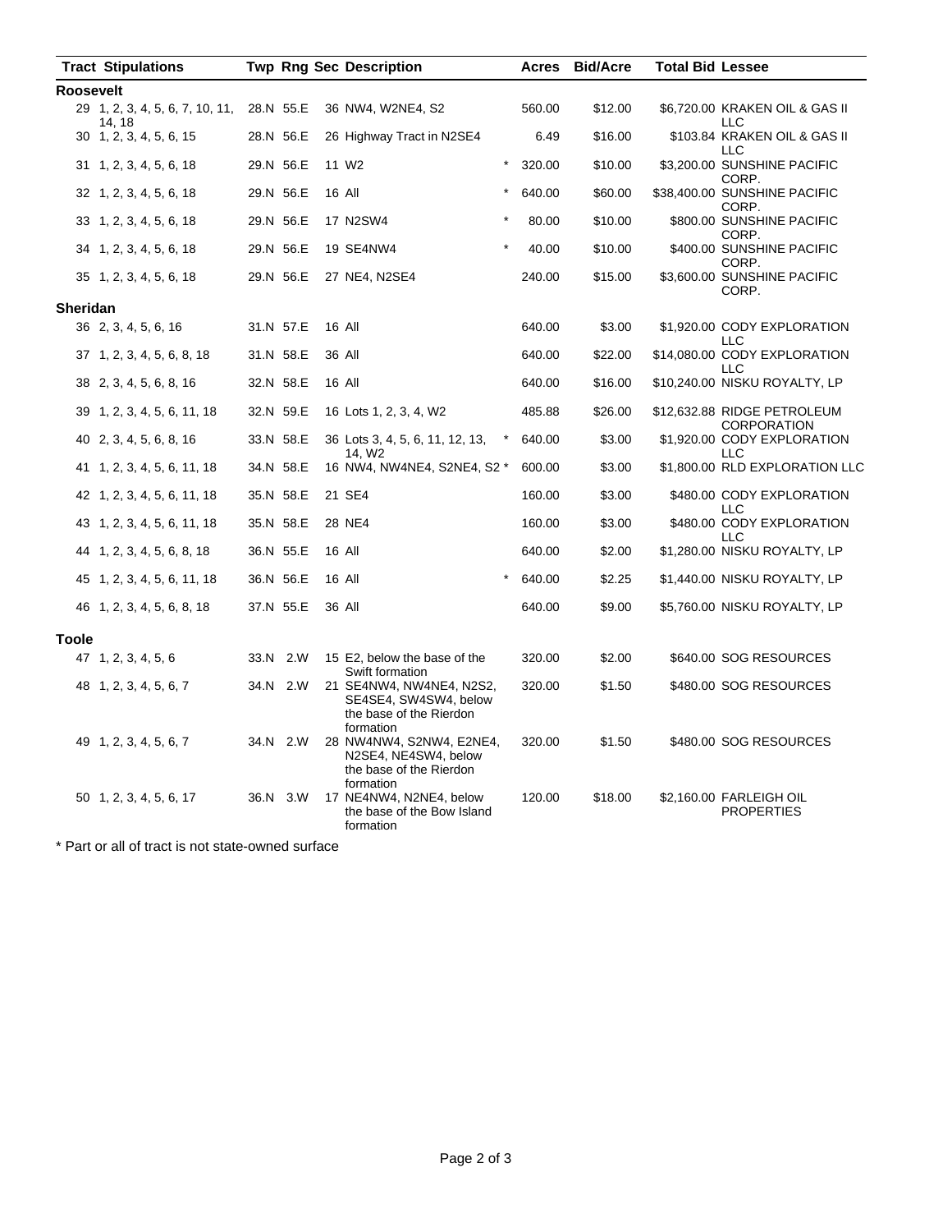|                  | <b>Tract Stipulations</b>                 |           |           |  | <b>Twp Rng Sec Description</b>                                                            | Acres  | <b>Bid/Acre</b> | <b>Total Bid Lessee</b> |                                              |
|------------------|-------------------------------------------|-----------|-----------|--|-------------------------------------------------------------------------------------------|--------|-----------------|-------------------------|----------------------------------------------|
| <b>Roosevelt</b> |                                           |           |           |  |                                                                                           |        |                 |                         |                                              |
|                  | 29 1, 2, 3, 4, 5, 6, 7, 10, 11,<br>14, 18 | 28.N 55.E |           |  | 36 NW4, W2NE4, S2                                                                         | 560.00 | \$12.00         |                         | \$6,720.00 KRAKEN OIL & GAS II<br><b>LLC</b> |
|                  | $30 \quad 1, 2, 3, 4, 5, 6, 15$           |           | 28.N 56.E |  | 26 Highway Tract in N2SE4                                                                 | 6.49   | \$16.00         |                         | \$103.84 KRAKEN OIL & GAS II<br>LLC          |
|                  | 31 1, 2, 3, 4, 5, 6, 18                   |           | 29.N 56.E |  | $\star$<br>11 W <sub>2</sub>                                                              | 320.00 | \$10.00         |                         | \$3,200.00 SUNSHINE PACIFIC<br>CORP.         |
|                  | 32 1, 2, 3, 4, 5, 6, 18                   |           | 29.N 56.E |  | *<br>16 All                                                                               | 640.00 | \$60.00         |                         | \$38,400.00 SUNSHINE PACIFIC<br>CORP.        |
|                  | 33 1, 2, 3, 4, 5, 6, 18                   |           | 29.N 56.E |  | 17 N2SW4                                                                                  | 80.00  | \$10.00         |                         | \$800.00 SUNSHINE PACIFIC<br>CORP.           |
|                  | 34 1, 2, 3, 4, 5, 6, 18                   |           | 29.N 56.E |  | 19 SE4NW4                                                                                 | 40.00  | \$10.00         |                         | \$400.00 SUNSHINE PACIFIC<br>CORP.           |
|                  | 35 1, 2, 3, 4, 5, 6, 18                   |           | 29.N 56.E |  | 27 NE4, N2SE4                                                                             | 240.00 | \$15.00         |                         | \$3,600.00 SUNSHINE PACIFIC<br>CORP.         |
| <b>Sheridan</b>  |                                           |           |           |  |                                                                                           |        |                 |                         |                                              |
|                  | 36 2, 3, 4, 5, 6, 16                      |           | 31.N 57.E |  | 16 All                                                                                    | 640.00 | \$3.00          |                         | \$1,920.00 CODY EXPLORATION<br>LLC           |
|                  | 37 1, 2, 3, 4, 5, 6, 8, 18                |           | 31.N 58.E |  | 36 All                                                                                    | 640.00 | \$22.00         |                         | \$14,080.00 CODY EXPLORATION<br>LLC          |
|                  | 38 2, 3, 4, 5, 6, 8, 16                   |           | 32.N 58.E |  | 16 All                                                                                    | 640.00 | \$16.00         |                         | \$10,240.00 NISKU ROYALTY, LP                |
|                  | 39 1, 2, 3, 4, 5, 6, 11, 18               |           | 32.N 59.E |  | 16 Lots 1, 2, 3, 4, W2                                                                    | 485.88 | \$26.00         |                         | \$12,632.88 RIDGE PETROLEUM<br>CORPORATION   |
|                  | 40 2, 3, 4, 5, 6, 8, 16                   |           | 33.N 58.E |  | 36 Lots 3, 4, 5, 6, 11, 12, 13,<br>14, W <sub>2</sub>                                     | 640.00 | \$3.00          |                         | \$1,920.00 CODY EXPLORATION<br>LLC           |
|                  | 41 1, 2, 3, 4, 5, 6, 11, 18               |           | 34.N 58.E |  | 16 NW4, NW4NE4, S2NE4, S2 *                                                               | 600.00 | \$3.00          |                         | \$1,800.00 RLD EXPLORATION LLC               |
|                  | 42 1, 2, 3, 4, 5, 6, 11, 18               |           | 35.N 58.E |  | 21 SE4                                                                                    | 160.00 | \$3.00          |                         | \$480.00 CODY EXPLORATION<br>LLC             |
|                  | 43 1, 2, 3, 4, 5, 6, 11, 18               |           | 35.N 58.E |  | 28 NE4                                                                                    | 160.00 | \$3.00          |                         | \$480.00 CODY EXPLORATION<br>LLC             |
|                  | 44 1, 2, 3, 4, 5, 6, 8, 18                |           | 36.N 55.E |  | 16 All                                                                                    | 640.00 | \$2.00          |                         | \$1,280.00 NISKU ROYALTY, LP                 |
|                  | 45 1, 2, 3, 4, 5, 6, 11, 18               |           | 36.N 56.E |  | 16 All                                                                                    | 640.00 | \$2.25          |                         | \$1,440.00 NISKU ROYALTY, LP                 |
|                  | 46 1, 2, 3, 4, 5, 6, 8, 18                |           | 37.N 55.E |  | 36 All                                                                                    | 640.00 | \$9.00          |                         | \$5,760.00 NISKU ROYALTY, LP                 |
| <b>Toole</b>     |                                           |           |           |  |                                                                                           |        |                 |                         |                                              |
|                  | 47 1, 2, 3, 4, 5, 6                       |           | 33.N 2.W  |  | 15 E2, below the base of the<br>Swift formation                                           | 320.00 | \$2.00          |                         | \$640.00 SOG RESOURCES                       |
|                  | 48 1, 2, 3, 4, 5, 6, 7                    |           | 34.N 2.W  |  | 21 SE4NW4, NW4NE4, N2S2,<br>SE4SE4, SW4SW4, below<br>the base of the Rierdon<br>formation | 320.00 | \$1.50          |                         | \$480.00 SOG RESOURCES                       |
|                  | 49 1, 2, 3, 4, 5, 6, 7                    |           | 34.N 2.W  |  | 28 NW4NW4, S2NW4, E2NE4,<br>N2SE4, NE4SW4, below<br>the base of the Rierdon<br>formation  | 320.00 | \$1.50          |                         | \$480.00 SOG RESOURCES                       |
|                  | 50 1, 2, 3, 4, 5, 6, 17                   |           | 36.N 3.W  |  | 17 NE4NW4, N2NE4, below<br>the base of the Bow Island<br>formation                        | 120.00 | \$18.00         |                         | \$2,160.00 FARLEIGH OIL<br><b>PROPERTIES</b> |

\* Part or all of tract is not state-owned surface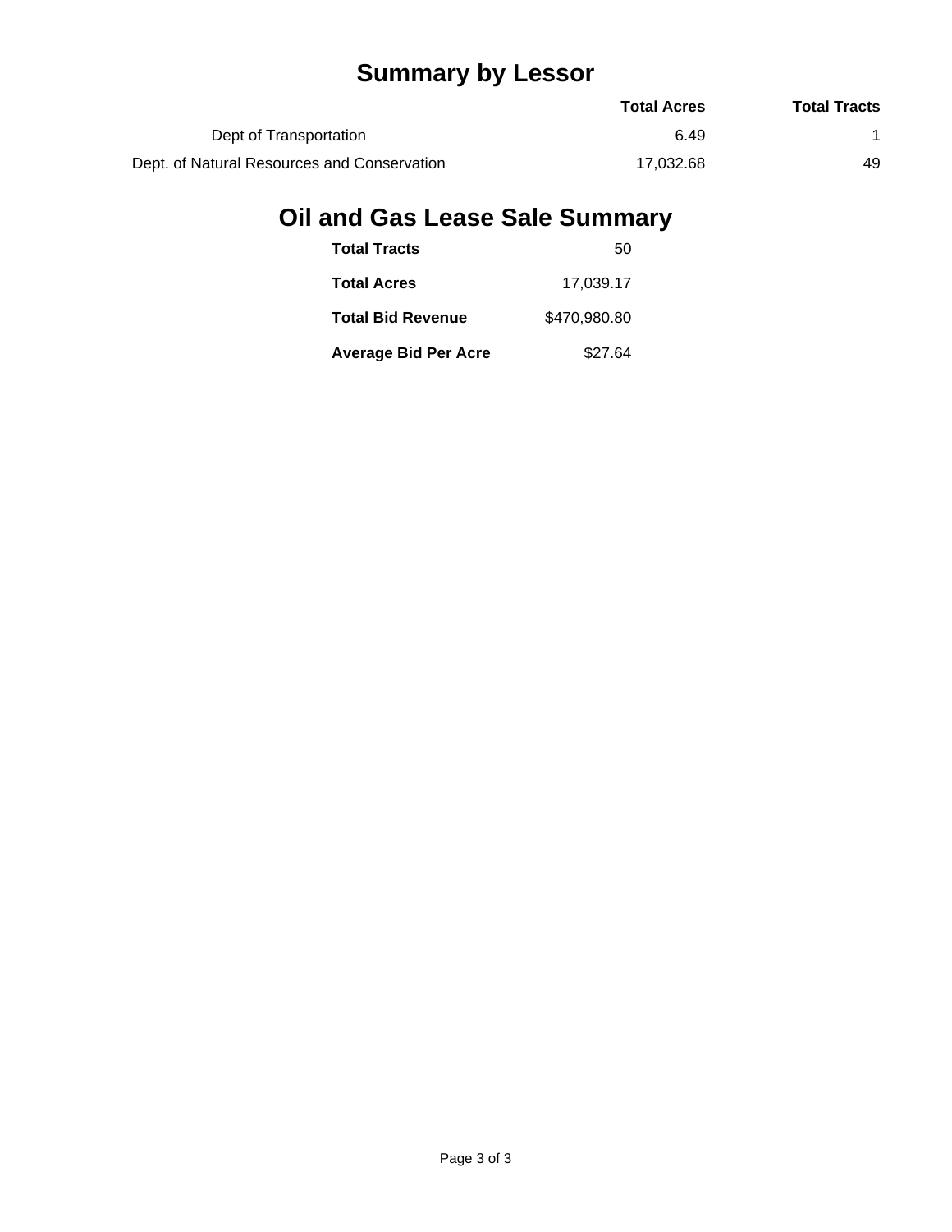# **Summary by Lessor**

|                                             | <b>Total Acres</b> | <b>Total Tracts</b> |
|---------------------------------------------|--------------------|---------------------|
| Dept of Transportation                      | 6.49               |                     |
| Dept. of Natural Resources and Conservation | 17.032.68          | 49                  |

# **Oil and Gas Lease Sale Summary**

| <b>Total Tracts</b>         | 50           |
|-----------------------------|--------------|
| <b>Total Acres</b>          | 17.039.17    |
| <b>Total Bid Revenue</b>    | \$470,980.80 |
| <b>Average Bid Per Acre</b> | \$27.64      |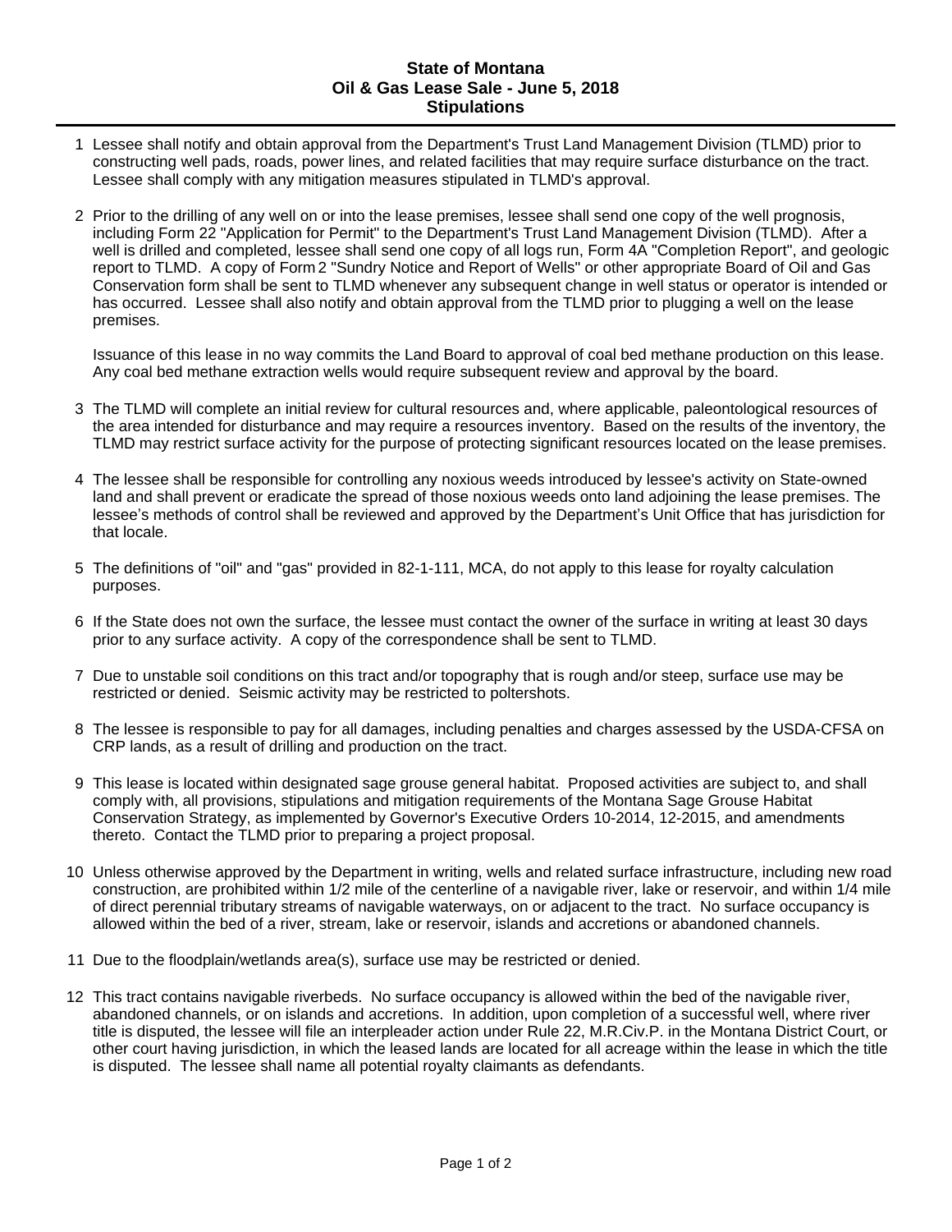#### **State of Montana Oil & Gas Lease Sale - June 5, 2018 Stipulations**

- 1 Lessee shall notify and obtain approval from the Department's Trust Land Management Division (TLMD) prior to constructing well pads, roads, power lines, and related facilities that may require surface disturbance on the tract. Lessee shall comply with any mitigation measures stipulated in TLMD's approval.
- 2 Prior to the drilling of any well on or into the lease premises, lessee shall send one copy of the well prognosis, including Form 22 "Application for Permit" to the Department's Trust Land Management Division (TLMD). After a well is drilled and completed, lessee shall send one copy of all logs run, Form 4A "Completion Report", and geologic report to TLMD. A copy of Form 2 "Sundry Notice and Report of Wells" or other appropriate Board of Oil and Gas Conservation form shall be sent to TLMD whenever any subsequent change in well status or operator is intended or has occurred. Lessee shall also notify and obtain approval from the TLMD prior to plugging a well on the lease premises.

Issuance of this lease in no way commits the Land Board to approval of coal bed methane production on this lease. Any coal bed methane extraction wells would require subsequent review and approval by the board.

- 3 The TLMD will complete an initial review for cultural resources and, where applicable, paleontological resources of the area intended for disturbance and may require a resources inventory. Based on the results of the inventory, the TLMD may restrict surface activity for the purpose of protecting significant resources located on the lease premises.
- 4 The lessee shall be responsible for controlling any noxious weeds introduced by lessee's activity on State-owned land and shall prevent or eradicate the spread of those noxious weeds onto land adjoining the lease premises. The lessee's methods of control shall be reviewed and approved by the Department's Unit Office that has jurisdiction for that locale.
- 5 The definitions of "oil" and "gas" provided in 82-1-111, MCA, do not apply to this lease for royalty calculation purposes.
- 6 If the State does not own the surface, the lessee must contact the owner of the surface in writing at least 30 days prior to any surface activity. A copy of the correspondence shall be sent to TLMD.
- 7 Due to unstable soil conditions on this tract and/or topography that is rough and/or steep, surface use may be restricted or denied. Seismic activity may be restricted to poltershots.
- 8 The lessee is responsible to pay for all damages, including penalties and charges assessed by the USDA-CFSA on CRP lands, as a result of drilling and production on the tract.
- 9 This lease is located within designated sage grouse general habitat. Proposed activities are subject to, and shall comply with, all provisions, stipulations and mitigation requirements of the Montana Sage Grouse Habitat Conservation Strategy, as implemented by Governor's Executive Orders 10-2014, 12-2015, and amendments thereto. Contact the TLMD prior to preparing a project proposal.
- 10 Unless otherwise approved by the Department in writing, wells and related surface infrastructure, including new road construction, are prohibited within 1/2 mile of the centerline of a navigable river, lake or reservoir, and within 1/4 mile of direct perennial tributary streams of navigable waterways, on or adjacent to the tract. No surface occupancy is allowed within the bed of a river, stream, lake or reservoir, islands and accretions or abandoned channels.
- 11 Due to the floodplain/wetlands area(s), surface use may be restricted or denied.
- 12 This tract contains navigable riverbeds. No surface occupancy is allowed within the bed of the navigable river, abandoned channels, or on islands and accretions. In addition, upon completion of a successful well, where river title is disputed, the lessee will file an interpleader action under Rule 22, M.R.Civ.P. in the Montana District Court, or other court having jurisdiction, in which the leased lands are located for all acreage within the lease in which the title is disputed. The lessee shall name all potential royalty claimants as defendants.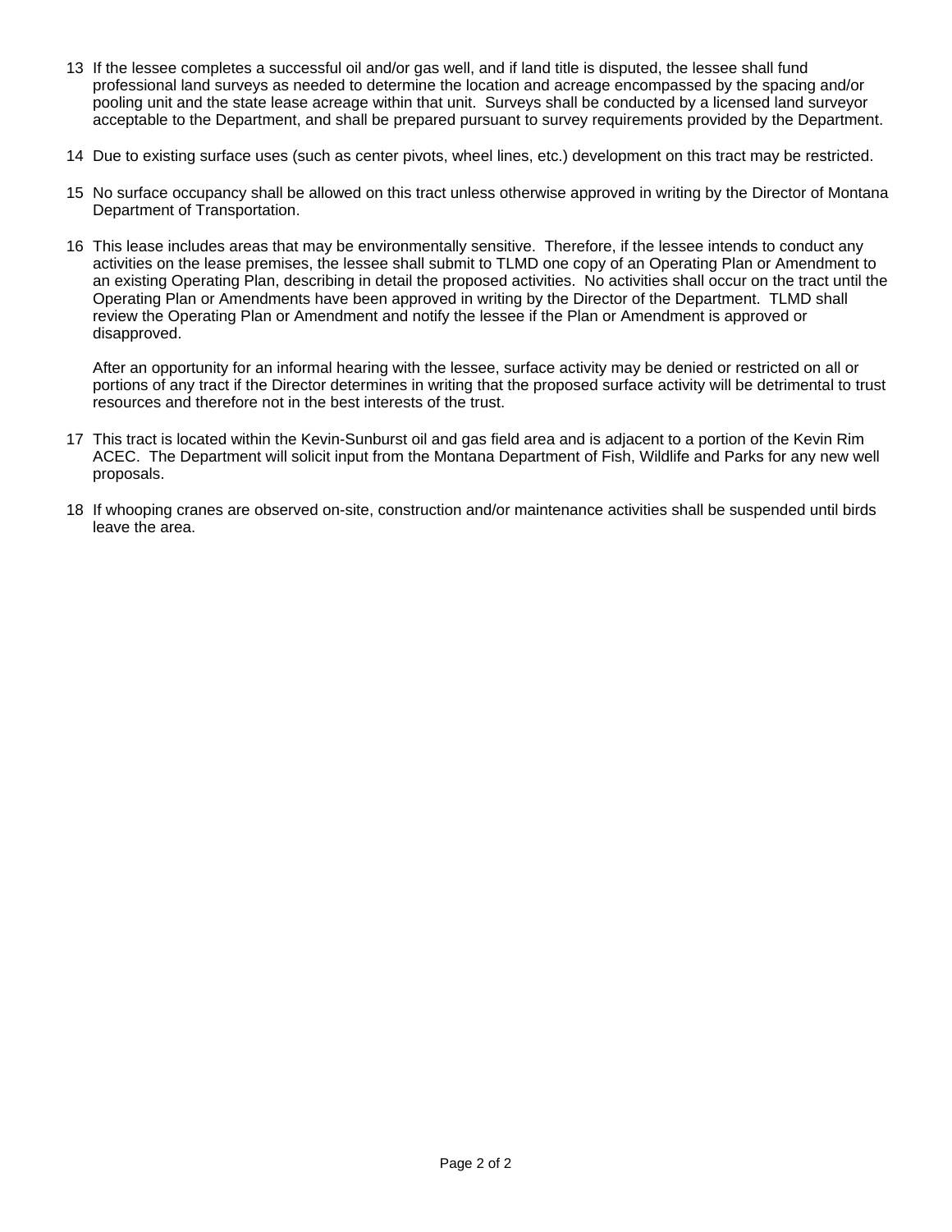- 13 If the lessee completes a successful oil and/or gas well, and if land title is disputed, the lessee shall fund professional land surveys as needed to determine the location and acreage encompassed by the spacing and/or pooling unit and the state lease acreage within that unit. Surveys shall be conducted by a licensed land surveyor acceptable to the Department, and shall be prepared pursuant to survey requirements provided by the Department.
- 14 Due to existing surface uses (such as center pivots, wheel lines, etc.) development on this tract may be restricted.
- 15 No surface occupancy shall be allowed on this tract unless otherwise approved in writing by the Director of Montana Department of Transportation.
- 16 This lease includes areas that may be environmentally sensitive. Therefore, if the lessee intends to conduct any activities on the lease premises, the lessee shall submit to TLMD one copy of an Operating Plan or Amendment to an existing Operating Plan, describing in detail the proposed activities. No activities shall occur on the tract until the Operating Plan or Amendments have been approved in writing by the Director of the Department. TLMD shall review the Operating Plan or Amendment and notify the lessee if the Plan or Amendment is approved or disapproved.

After an opportunity for an informal hearing with the lessee, surface activity may be denied or restricted on all or portions of any tract if the Director determines in writing that the proposed surface activity will be detrimental to trust resources and therefore not in the best interests of the trust.

- 17 This tract is located within the Kevin-Sunburst oil and gas field area and is adjacent to a portion of the Kevin Rim ACEC. The Department will solicit input from the Montana Department of Fish, Wildlife and Parks for any new well proposals.
- 18 If whooping cranes are observed on-site, construction and/or maintenance activities shall be suspended until birds leave the area.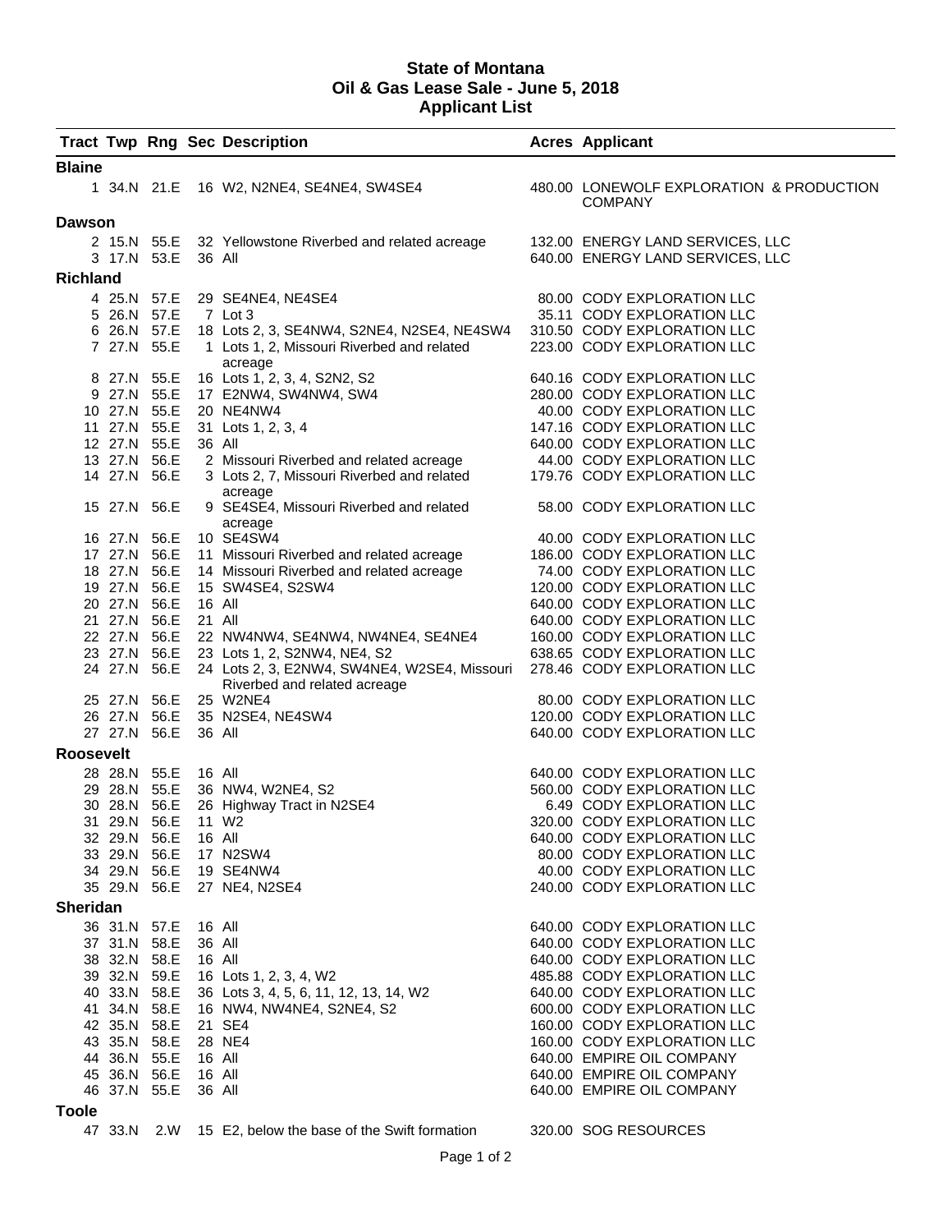#### **State of Montana Oil & Gas Lease Sale - June 5, 2018 Applicant List**

|               |                              |                  | <b>Tract Twp Rng Sec Description</b>                                                                                                                  | <b>Acres Applicant</b>                                     |
|---------------|------------------------------|------------------|-------------------------------------------------------------------------------------------------------------------------------------------------------|------------------------------------------------------------|
| <b>Blaine</b> |                              |                  |                                                                                                                                                       |                                                            |
|               |                              |                  | 1 34.N 21.E 16 W2, N2NE4, SE4NE4, SW4SE4                                                                                                              | 480.00 LONEWOLF EXPLORATION & PRODUCTION<br><b>COMPANY</b> |
| <b>Dawson</b> |                              |                  |                                                                                                                                                       |                                                            |
|               |                              |                  | 2 15.N 55.E 32 Yellowstone Riverbed and related acreage                                                                                               | 132.00 ENERGY LAND SERVICES, LLC                           |
|               | 3 17.N 53.E 36 All           |                  |                                                                                                                                                       | 640.00 ENERGY LAND SERVICES, LLC                           |
| Richland      |                              |                  |                                                                                                                                                       |                                                            |
|               |                              |                  | 4 25.N 57.E 29 SE4NE4, NE4SE4                                                                                                                         | 80.00 CODY EXPLORATION LLC                                 |
|               | 5 26.N 57.E                  |                  | 7 Lot 3                                                                                                                                               | 35.11 CODY EXPLORATION LLC                                 |
|               |                              |                  | 6 26.N 57.E 18 Lots 2, 3, SE4NW4, S2NE4, N2SE4, NE4SW4 310.50 CODY EXPLORATION LLC                                                                    |                                                            |
|               | 7 27.N 55.E                  |                  | 1 Lots 1, 2, Missouri Riverbed and related<br>acreage                                                                                                 | 223.00 CODY EXPLORATION LLC                                |
|               | 8 27.N 55.E                  |                  | 16 Lots 1, 2, 3, 4, S2N2, S2                                                                                                                          | 640.16 CODY EXPLORATION LLC                                |
|               | 9 27.N 55.E                  |                  | 17 E2NW4, SW4NW4, SW4                                                                                                                                 | 280.00 CODY EXPLORATION LLC                                |
|               |                              |                  | 10 27.N 55.E 20 NE4NW4                                                                                                                                | 40.00 CODY EXPLORATION LLC                                 |
|               | 11 27.N 55.E                 |                  | 31 Lots 1, 2, 3, 4                                                                                                                                    | 147.16 CODY EXPLORATION LLC                                |
|               | 12 27.N 55.E                 | 36 All           |                                                                                                                                                       | 640.00 CODY EXPLORATION LLC                                |
|               | 13 27.N 56.E                 |                  | 2 Missouri Riverbed and related acreage                                                                                                               | 44.00 CODY EXPLORATION LLC                                 |
|               | 14 27.N 56.E                 |                  | 3 Lots 2, 7, Missouri Riverbed and related<br>acreage                                                                                                 | 179.76 CODY EXPLORATION LLC                                |
|               | 15 27.N 56.E                 |                  | 9 SE4SE4, Missouri Riverbed and related<br>acreage                                                                                                    | 58.00 CODY EXPLORATION LLC                                 |
|               | 16 27.N 56.E                 |                  | 10 SE4SW4                                                                                                                                             | 40.00 CODY EXPLORATION LLC                                 |
|               | 17 27.N 56.E                 |                  | 11 Missouri Riverbed and related acreage                                                                                                              | 186.00 CODY EXPLORATION LLC                                |
|               | 18 27.N 56.E                 |                  | 14 Missouri Riverbed and related acreage                                                                                                              | 74.00 CODY EXPLORATION LLC                                 |
|               | 19 27.N 56.E                 |                  | 15 SW4SE4, S2SW4                                                                                                                                      | 120.00 CODY EXPLORATION LLC                                |
|               | 20 27.N 56.E                 | 16 All           |                                                                                                                                                       | 640.00 CODY EXPLORATION LLC                                |
|               | 21 27.N 56.E                 | 21 All           |                                                                                                                                                       | 640.00 CODY EXPLORATION LLC                                |
|               |                              |                  | 22 27.N 56.E 22 NW4NW4, SE4NW4, NW4NE4, SE4NE4                                                                                                        | 160.00 CODY EXPLORATION LLC                                |
|               | 24 27.N 56.E                 |                  | 23 27.N 56.E 23 Lots 1, 2, S2NW4, NE4, S2<br>24 Lots 2, 3, E2NW4, SW4NE4, W2SE4, Missouri 278.46 CODY EXPLORATION LLC<br>Riverbed and related acreage | 638.65 CODY EXPLORATION LLC                                |
|               |                              |                  | 25 27.N 56.E 25 W2NE4                                                                                                                                 | 80.00 CODY EXPLORATION LLC                                 |
|               |                              |                  | 26 27.N 56.E 35 N2SE4, NE4SW4                                                                                                                         | 120.00 CODY EXPLORATION LLC                                |
|               | 27 27.N 56.E                 | 36 All           |                                                                                                                                                       | 640.00 CODY EXPLORATION LLC                                |
| Roosevelt     |                              |                  |                                                                                                                                                       |                                                            |
|               | 28 28.N 55.E                 | 16 All           |                                                                                                                                                       | 640.00 CODY EXPLORATION LLC                                |
|               |                              |                  | 29 28.N 55.E 36 NW4, W2NE4, S2                                                                                                                        | 560.00 CODY EXPLORATION LLC                                |
|               | 30 28.N 56.E                 |                  | 26 Highway Tract in N2SE4                                                                                                                             | 6.49 CODY EXPLORATION LLC                                  |
|               | 31 29.N 56.E                 |                  | 11 W <sub>2</sub>                                                                                                                                     | 320.00 CODY EXPLORATION LLC                                |
|               | 32 29.N 56.E                 | 16 All           |                                                                                                                                                       | 640.00 CODY EXPLORATION LLC                                |
|               | 33 29.N 56.E                 |                  | 17 N2SW4                                                                                                                                              | 80.00 CODY EXPLORATION LLC                                 |
|               | 34 29.N 56.E                 |                  | 19 SE4NW4                                                                                                                                             | 40.00 CODY EXPLORATION LLC                                 |
| Sheridan      | 35 29.N 56.E                 |                  | 27 NE4, N2SE4                                                                                                                                         | 240.00 CODY EXPLORATION LLC                                |
|               |                              |                  |                                                                                                                                                       |                                                            |
|               | 36 31.N 57.E<br>37 31.N 58.E | 16 All<br>36 All |                                                                                                                                                       | 640.00 CODY EXPLORATION LLC<br>640.00 CODY EXPLORATION LLC |
|               | 38 32.N 58.E                 | 16 All           |                                                                                                                                                       | 640.00 CODY EXPLORATION LLC                                |
|               | 39 32.N 59.E                 |                  | 16 Lots 1, 2, 3, 4, W2                                                                                                                                | 485.88 CODY EXPLORATION LLC                                |
|               | 40 33.N 58.E                 |                  | 36 Lots 3, 4, 5, 6, 11, 12, 13, 14, W2                                                                                                                | 640.00 CODY EXPLORATION LLC                                |
|               | 41 34.N 58.E                 |                  | 16 NW4, NW4NE4, S2NE4, S2                                                                                                                             | 600.00 CODY EXPLORATION LLC                                |
|               | 42 35.N 58.E                 |                  | 21 SE4                                                                                                                                                | 160.00 CODY EXPLORATION LLC                                |
|               | 43 35.N 58.E                 |                  | 28 NE4                                                                                                                                                | 160.00 CODY EXPLORATION LLC                                |
|               | 44 36.N 55.E                 | 16 All           |                                                                                                                                                       | 640.00 EMPIRE OIL COMPANY                                  |
|               | 45 36.N 56.E                 | 16 All           |                                                                                                                                                       | 640.00 EMPIRE OIL COMPANY                                  |
|               | 46 37.N 55.E                 | 36 All           |                                                                                                                                                       | 640.00 EMPIRE OIL COMPANY                                  |
| Toole         |                              |                  |                                                                                                                                                       |                                                            |
|               |                              |                  | 47 33.N 2.W 15 E2, below the base of the Swift formation                                                                                              | 320.00 SOG RESOURCES                                       |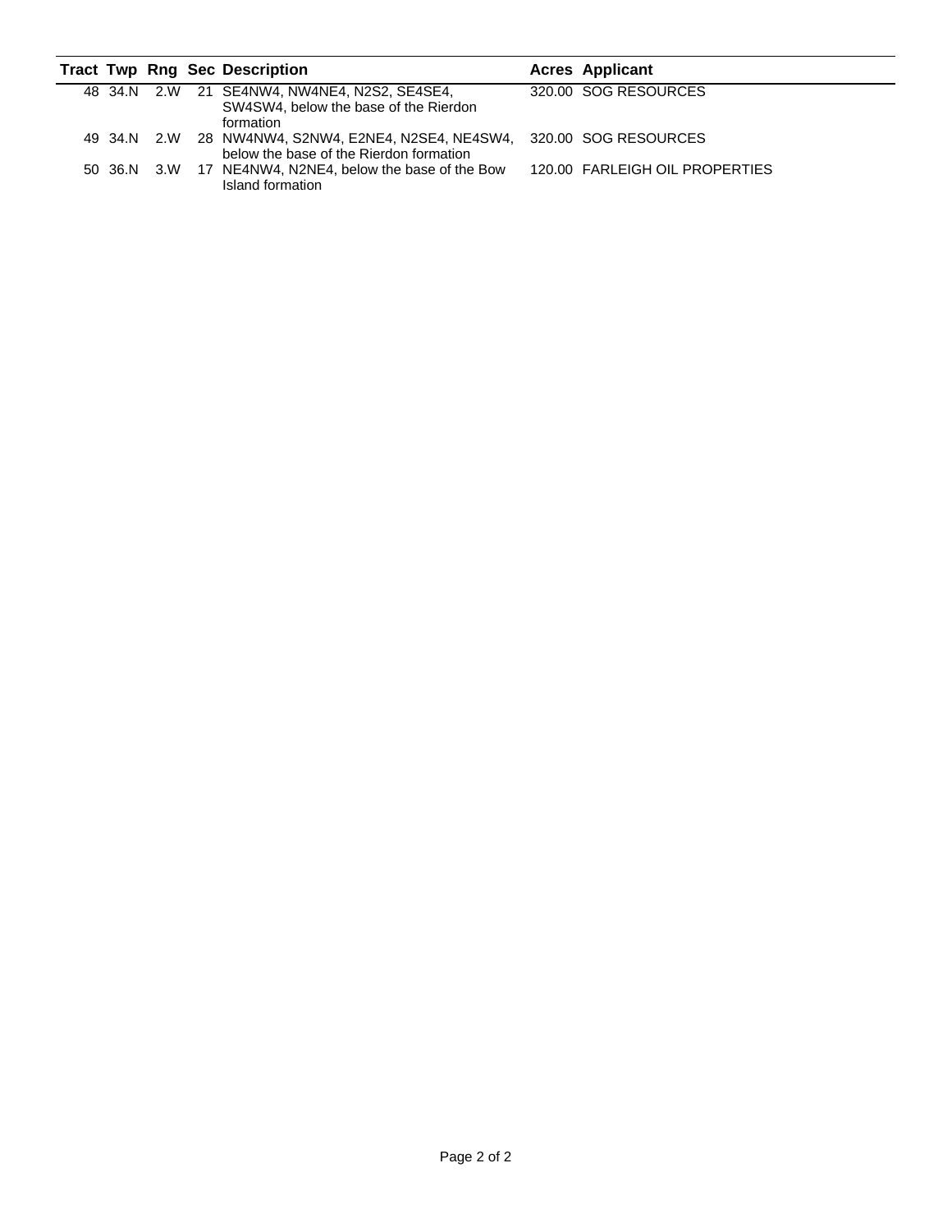|  |  | <b>Tract Twp Rng Sec Description</b>                                                                                | <b>Acres Applicant</b>         |
|--|--|---------------------------------------------------------------------------------------------------------------------|--------------------------------|
|  |  | 48 34.N 2.W 21 SE4NW4, NW4NE4, N2S2, SE4SE4,<br>SW4SW4, below the base of the Rierdon<br>formation                  | 320.00 SOG RESOURCES           |
|  |  | 49 34.N 2.W 28 NW4NW4, S2NW4, E2NE4, N2SE4, NE4SW4, 320.00 SOG RESOURCES<br>below the base of the Rierdon formation |                                |
|  |  | 50 36.N 3.W 17 NE4NW4, N2NE4, below the base of the Bow<br>Island formation                                         | 120.00 FARLEIGH OIL PROPERTIES |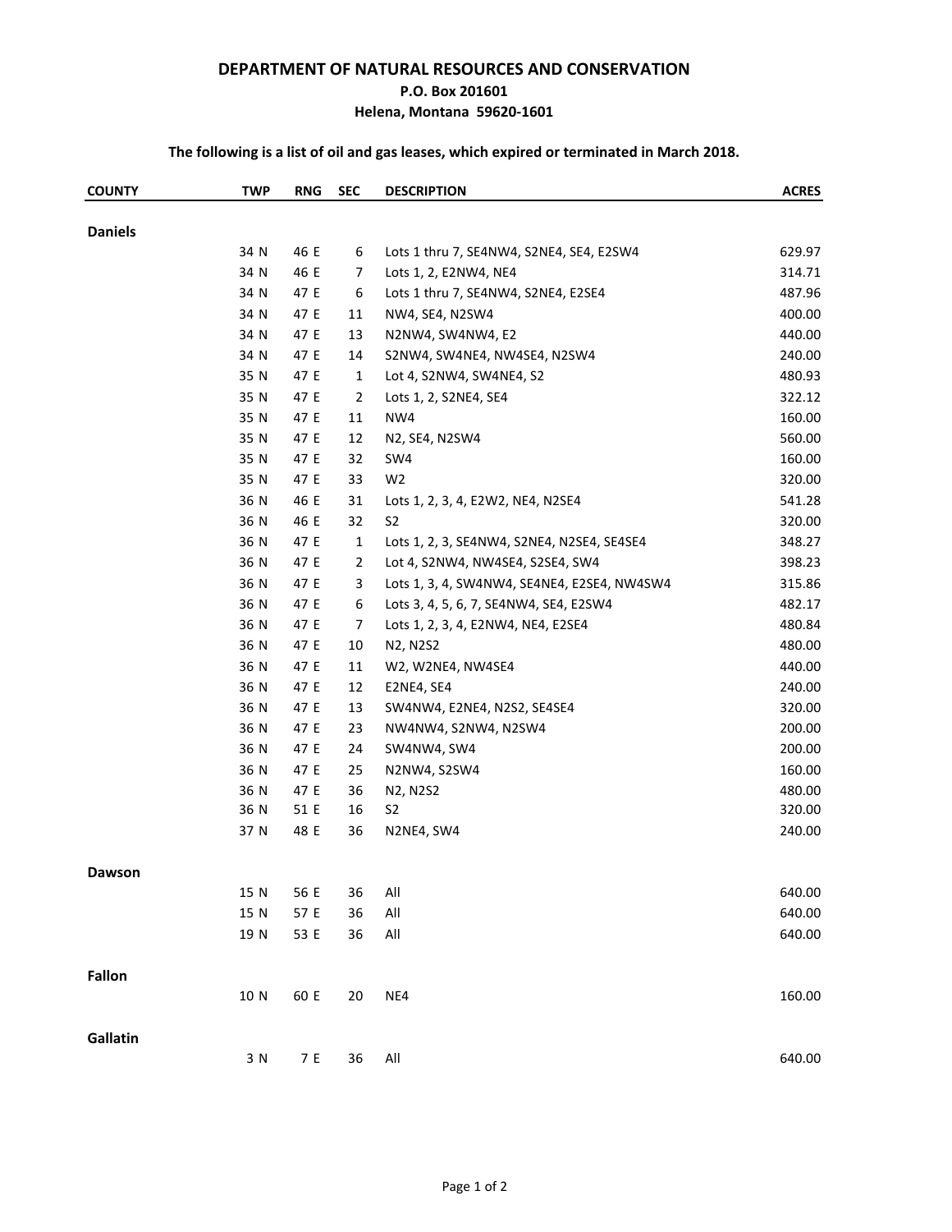#### **DEPARTMENT OF NATURAL RESOURCES AND CONSERVATION**

#### **P.O. Box 201601**

**Helena, Montana 59620-1601**

### **The following is a list of oil and gas leases, which expired or terminated in March 2018.**

| <b>COUNTY</b>  | <b>TWP</b> | <b>RNG</b> | <b>SEC</b>     | <b>DESCRIPTION</b>                          | <b>ACRES</b> |
|----------------|------------|------------|----------------|---------------------------------------------|--------------|
| <b>Daniels</b> |            |            |                |                                             |              |
|                | 34 N       | 46 E       | 6              | Lots 1 thru 7, SE4NW4, S2NE4, SE4, E2SW4    | 629.97       |
|                | 34 N       | 46 E       | 7              | Lots 1, 2, E2NW4, NE4                       | 314.71       |
|                | 34 N       | 47 E       | 6              | Lots 1 thru 7, SE4NW4, S2NE4, E2SE4         | 487.96       |
|                | 34 N       | 47 E       | 11             | NW4, SE4, N2SW4                             | 400.00       |
|                | 34 N       | 47 E       | 13             | N2NW4, SW4NW4, E2                           | 440.00       |
|                | 34 N       | 47 E       | 14             | S2NW4, SW4NE4, NW4SE4, N2SW4                | 240.00       |
|                | 35 N       | 47 E       | $\mathbf{1}$   | Lot 4, S2NW4, SW4NE4, S2                    | 480.93       |
|                | 35 N       | 47 E       | $\overline{2}$ | Lots 1, 2, S2NE4, SE4                       | 322.12       |
|                | 35 N       | 47 E       | 11             | NW4                                         | 160.00       |
|                | 35 N       | 47 E       | 12             | N2, SE4, N2SW4                              | 560.00       |
|                | 35 N       | 47 E       | 32             | SW4                                         | 160.00       |
|                | 35 N       | 47 E       | 33             | W <sub>2</sub>                              | 320.00       |
|                | 36 N       | 46 E       | 31             | Lots 1, 2, 3, 4, E2W2, NE4, N2SE4           | 541.28       |
|                | 36 N       | 46 E       | 32             | S <sub>2</sub>                              | 320.00       |
|                | 36 N       | 47 E       | $\mathbf{1}$   | Lots 1, 2, 3, SE4NW4, S2NE4, N2SE4, SE4SE4  | 348.27       |
|                | 36 N       | 47 E       | $\overline{2}$ | Lot 4, S2NW4, NW4SE4, S2SE4, SW4            | 398.23       |
|                | 36 N       | 47 E       | 3              | Lots 1, 3, 4, SW4NW4, SE4NE4, E2SE4, NW4SW4 | 315.86       |
|                | 36 N       | 47 E       | 6              | Lots 3, 4, 5, 6, 7, SE4NW4, SE4, E2SW4      | 482.17       |
|                | 36 N       | 47 E       | 7              | Lots 1, 2, 3, 4, E2NW4, NE4, E2SE4          | 480.84       |
|                | 36 N       | 47 E       | 10             | N2, N2S2                                    | 480.00       |
|                | 36 N       | 47 E       | 11             | W2, W2NE4, NW4SE4                           | 440.00       |
|                | 36 N       | 47 E       | 12             | E2NE4, SE4                                  | 240.00       |
|                | 36 N       | 47 E       | 13             | SW4NW4, E2NE4, N2S2, SE4SE4                 | 320.00       |
|                | 36 N       | 47 E       | 23             | NW4NW4, S2NW4, N2SW4                        | 200.00       |
|                | 36 N       | 47 E       | 24             | SW4NW4, SW4                                 | 200.00       |
|                | 36 N       | 47 E       | 25             | N2NW4, S2SW4                                | 160.00       |
|                | 36 N       | 47 E       | 36             | N2, N2S2                                    | 480.00       |
|                | 36 N       | 51 E       | 16             | S <sub>2</sub>                              | 320.00       |
|                | 37 N       | 48 E       | 36             | N2NE4, SW4                                  | 240.00       |
| <b>Dawson</b>  |            |            |                |                                             |              |
|                | 15 N       | 56 E       | 36             | All                                         | 640.00       |
|                | 15 N       | 57 E       | 36             | All                                         | 640.00       |
|                | 19 N       | 53 E       | 36             | $\mathsf{All}$                              | 640.00       |
| <b>Fallon</b>  |            |            |                |                                             |              |
|                | 10 N       | 60 E       | 20             | NE4                                         | 160.00       |
| Gallatin       |            |            |                |                                             |              |
|                | 3 N        | 7 E        | 36             | All                                         | 640.00       |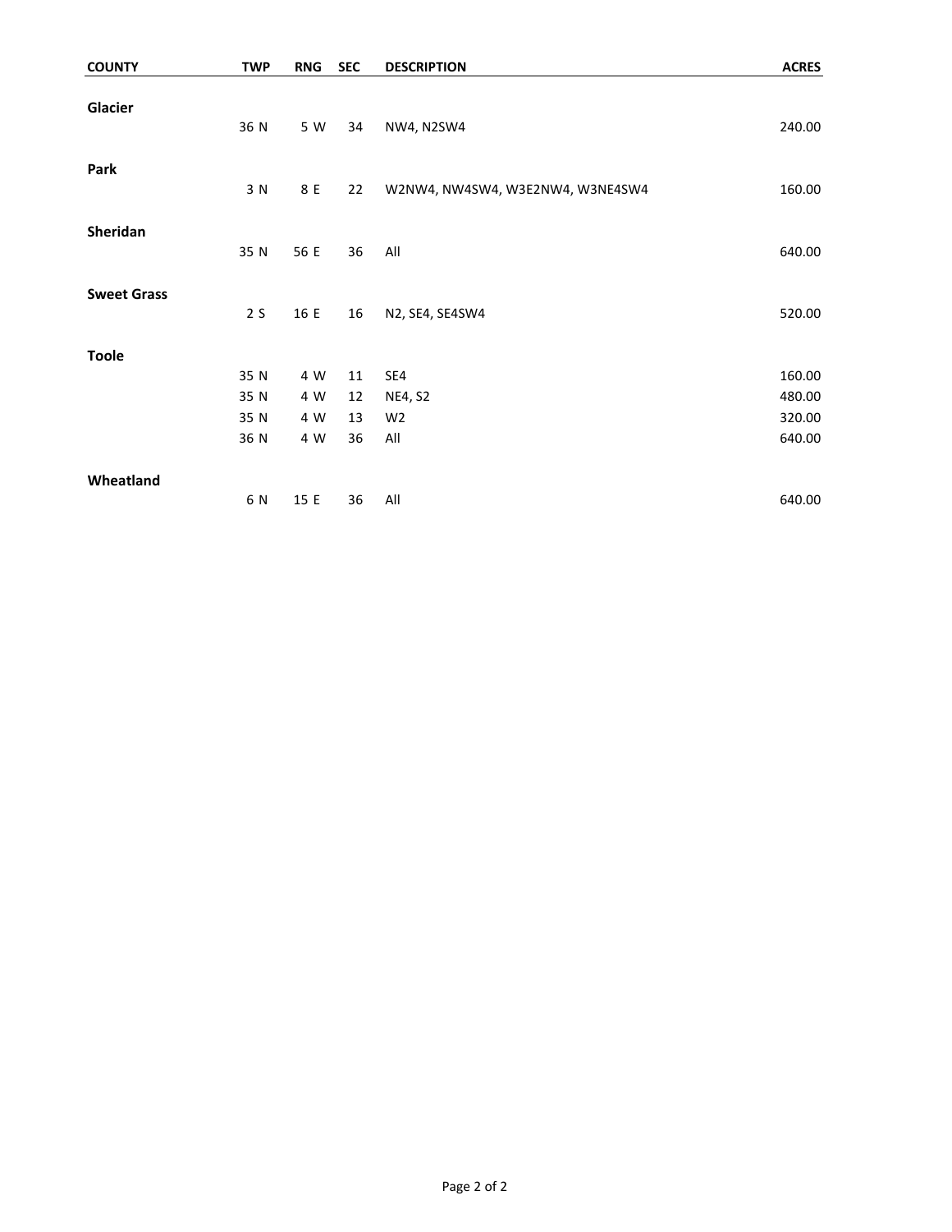| <b>COUNTY</b>      | <b>TWP</b> | <b>RNG</b> | <b>SEC</b> | <b>DESCRIPTION</b>               | <b>ACRES</b> |
|--------------------|------------|------------|------------|----------------------------------|--------------|
| Glacier            | 36 N       | 5 W        | 34         | NW4, N2SW4                       | 240.00       |
| Park               | 3 N        | 8 E        | 22         | W2NW4, NW4SW4, W3E2NW4, W3NE4SW4 | 160.00       |
| Sheridan           | 35 N       | 56 E       | 36         | All                              | 640.00       |
| <b>Sweet Grass</b> | 2S         | 16 E       | 16         | N2, SE4, SE4SW4                  | 520.00       |
| <b>Toole</b>       |            |            |            |                                  |              |
|                    | 35 N       | 4 W        | 11         | SE4                              | 160.00       |
|                    | 35 N       | 4 W        | 12         | <b>NE4, S2</b>                   | 480.00       |
|                    | 35 N       | 4 W        | 13         | W <sub>2</sub>                   | 320.00       |
|                    | 36 N       | 4 W        | 36         | All                              | 640.00       |
| Wheatland          |            |            |            |                                  |              |
|                    | 6 N        | 15 E       | 36         | All                              | 640.00       |